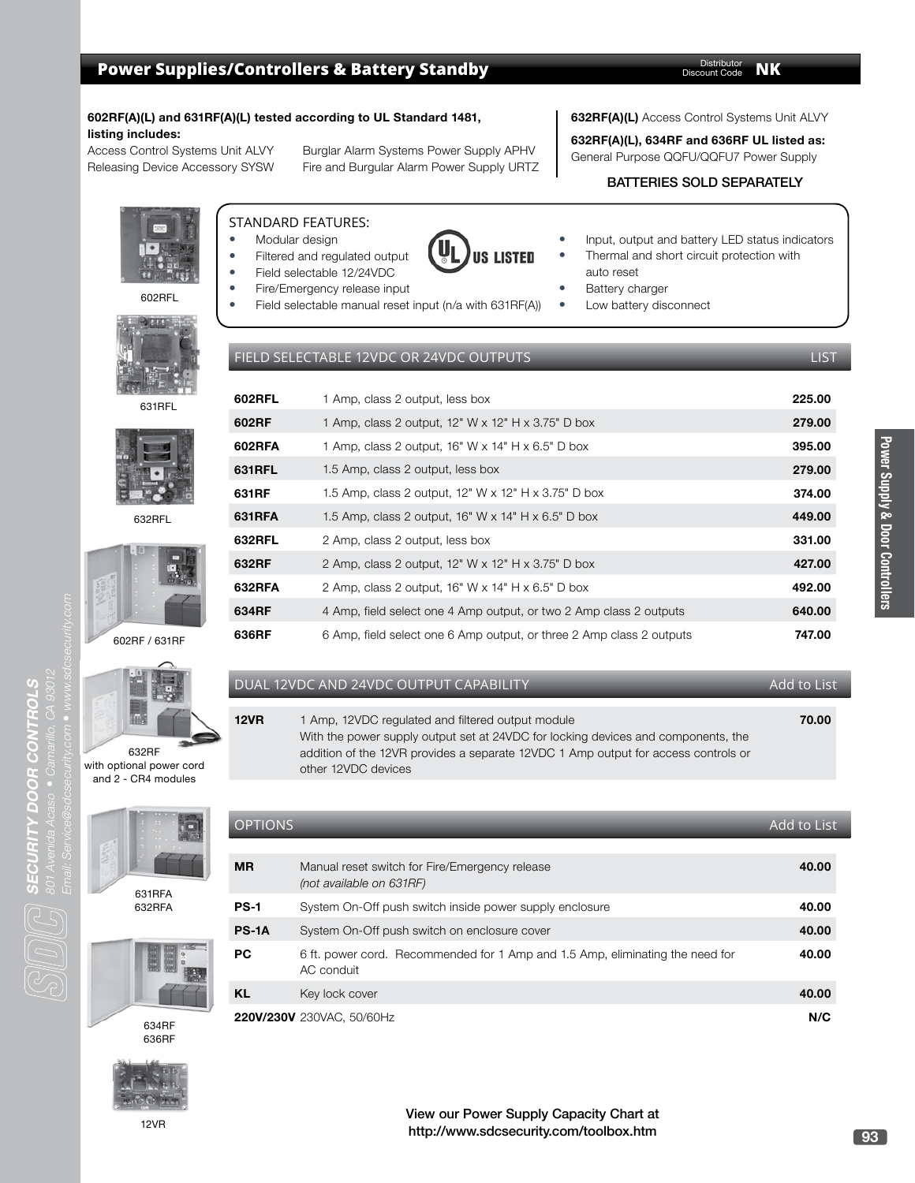#### **602RF(A)(L) and 631RF(A)(L) tested according to UL Standard 1481, listing includes:**

Access Control Systems Unit ALVY Burglar Alarm Systems Power Supply APHV Releasing Device Accessory SYSW Fire and Burgular Alarm Power Supply URTZ

#### **632RF(A)(L)** Access Control Systems Unit ALVY

**632RF(A)(L), 634RF and 636RF UL listed as:**

General Purpose QQFU/QQFU7 Power Supply

#### BATTERIES SOLD SEPARATELY

STANDARD FEATURES: Modular design

- Filtered and regulated output
- Field selectable 12/24VDC
- Fire/Emergency release input
	- Field selectable manual reset input (n/a with 631RF(A))
- Input, output and battery LED status indicators
- Thermal and short circuit protection with auto reset
- Battery charger
- Low battery disconnect
- 

FIELD SELECTABLE 12VDC OR 24VDC OUTPUTS LIST

| J<br>ï                                           |  |
|--------------------------------------------------|--|
|                                                  |  |
| ŋ<br>f                                           |  |
| ٠<br>٠l<br><b>Service Service</b><br>٦<br>ı<br>٠ |  |
| ١<br>y<br>٠,<br>ŋ<br>٠                           |  |
| 1                                                |  |
| ı<br><b>Service Service</b><br>Ï                 |  |



US LISTED

#### DUAL 12VDC AND 24VDC OUTPUT CAPABILITY AND A CHANGE AND LIST

other 12VDC devices

**12VR** 1 Amp, 12VDC regulated and filtered output module





631RFA 632RFA







With the power supply output set at 24VDC for locking devices and components, the addition of the 12VR provides a separate 12VDC 1 Amp output for access controls or

**70.00**



**93**

12VR

634RF 636RF



602RF / 631RF

632RFL

631RFL

602RFL

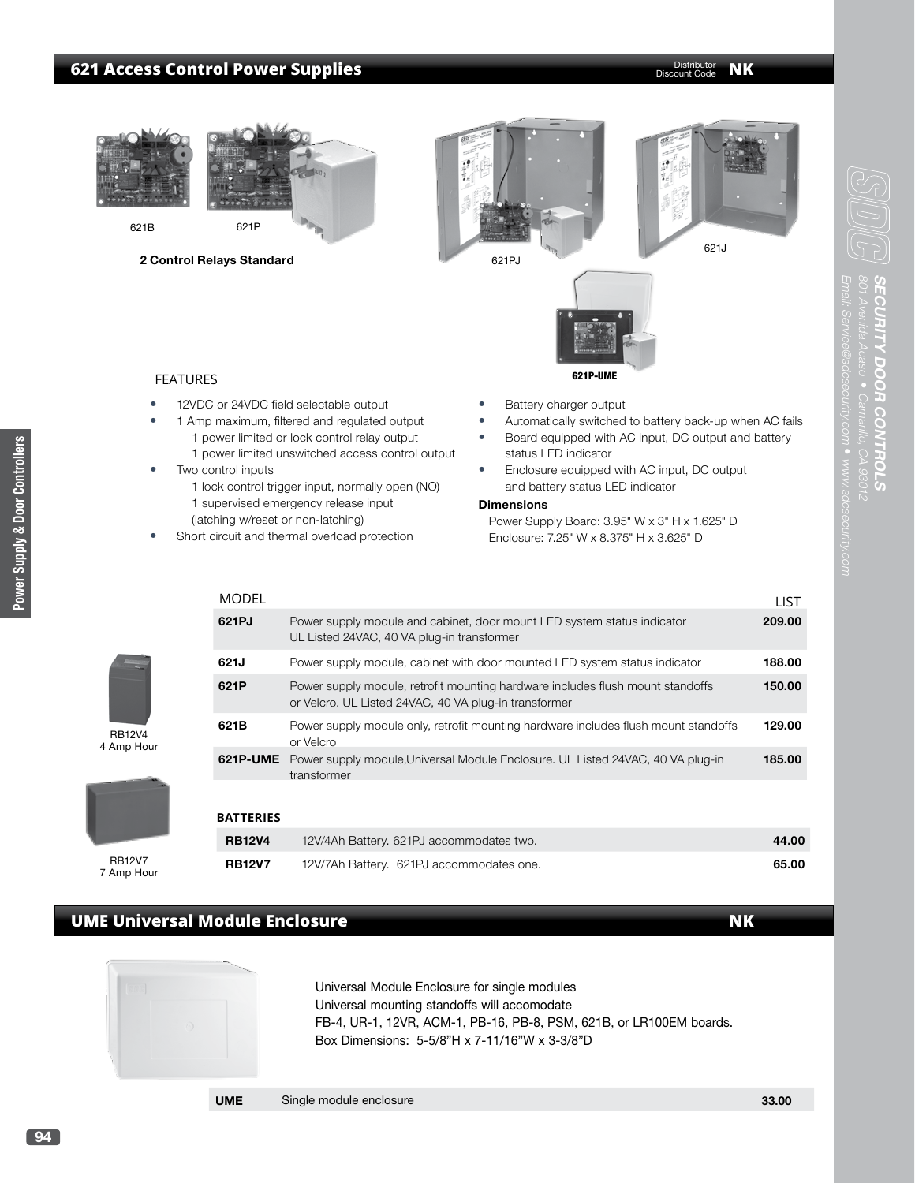## **621 Access Control Power Supplies CONSTRUCTER SERVICES** Distributor **NK** Distributor **NK**

Distributor Discount Code



**2 Control Relays Standard**







801 Avenida Acaso

**SECURITY DOOR CONTROLS**

**ECURITY DOOR CONTRO** 

#### FEATURES

- 12VDC or 24VDC field selectable output
	- 1 Amp maximum, filtered and regulated output 1 power limited or lock control relay output
		- 1 power limited unswitched access control output
- Two control inputs
	- 1 lock control trigger input, normally open (NO) 1 supervised emergency release input
		- (latching w/reset or non-latching)
- Short circuit and thermal overload protection
- Battery charger output
- Automatically switched to battery back-up when AC fails
- Board equipped with AC input, DC output and battery status LED indicator
- Enclosure equipped with AC input, DC output and battery status LED indicator

#### **Dimensions**

Power Supply Board: 3.95" W x 3" H x 1.625" D Enclosure: 7.25" W x 8.375" H x 3.625" D

| MODEL            |                                                                                                                                         | LIST   |
|------------------|-----------------------------------------------------------------------------------------------------------------------------------------|--------|
| 621PJ            | Power supply module and cabinet, door mount LED system status indicator<br>UL Listed 24VAC, 40 VA plug-in transformer                   | 209.00 |
| 621J             | Power supply module, cabinet with door mounted LED system status indicator                                                              | 188.00 |
| 621P             | Power supply module, retrofit mounting hardware includes flush mount standoffs<br>or Velcro. UL Listed 24VAC, 40 VA plug-in transformer | 150.00 |
| 621B             | Power supply module only, retrofit mounting hardware includes flush mount standoffs<br>or Velcro                                        | 129.00 |
|                  | <b>621P-UME</b> Power supply module, Universal Module Enclosure. UL Listed 24VAC, 40 VA plug-in<br>transformer                          | 185.00 |
| <b>BATTERIES</b> |                                                                                                                                         |        |
| <b>RB12V4</b>    | 12V/4Ah Battery. 621PJ accommodates two.                                                                                                | 44.00  |

# **UME Universal Module Enclosure**



Universal Module Enclosure for single modules Universal mounting standoffs will accomodate FB-4, UR-1, 12VR, ACM-1, PB-16, PB-8, PSM, 621B, or LR100EM boards. Box Dimensions: 5-5/8"H x 7-11/16"W x 3-3/8"D

 **RB12V7** 12V/7Ah Battery. 621PJ accommodates one. **65.00**

### **UME** Single module enclosure **33.00 33.00**

4 Amp Hour